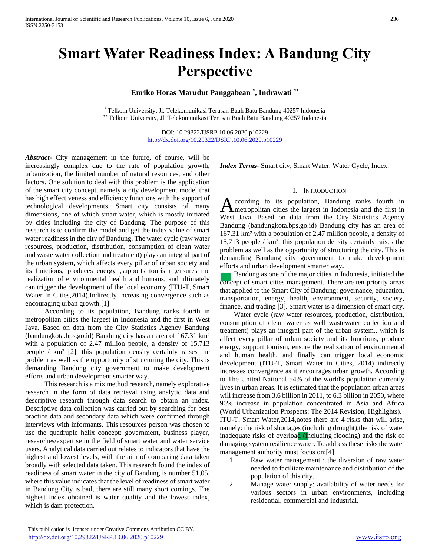# **Smart Water Readiness Index: A Bandung City Perspective**

# **Enriko Horas Marudut Panggabean \* , Indrawati \*\***

\* Telkom University, Jl. Telekomunikasi Terusan Buah Batu Bandung 40257 Indonesia \*\* Telkom University, Jl. Telekomunikasi Terusan Buah Batu Bandung 40257 Indonesia

> DOI: 10.29322/IJSRP.10.06.2020.p10229 <http://dx.doi.org/10.29322/IJSRP.10.06.2020.p10229>

*Abstract***-** City management in the future, of course, will be increasingly complex due to the rate of population growth, urbanization, the limited number of natural resources, and other factors. One solution to deal with this problem is the application of the smart city concept, namely a city development model that has high effectiveness and efficiency functions with the support of technological developments. Smart city consists of many dimensions, one of which smart water, which is mostly initiated by cities including the city of Bandung. The purpose of this research is to confirm the model and get the index value of smart water readiness in the city of Bandung. The water cycle (raw water resources, production, distribution, consumption of clean water and waste water collection and treatment) plays an integral part of the urban system, which affects every pillar of urban society and its functions, produces energy ,supports tourism ,ensures the realization of environmental health and humans, and ultimately can trigger the development of the local economy (ITU-T, Smart Water In Cities,2014).Indirectly increasing convergence such as encouraging urban growth.[1]

 According to its population, Bandung ranks fourth in metropolitan cities the largest in Indonesia and the first in West Java. Based on data from the City Statistics Agency Bandung (bandungkota.bps.go.id) Bandung city has an area of 167.31 km² with a population of 2.47 million people, a density of 15,713 people / km² [2]. this population density certainly raises the problem as well as the opportunity of structuring the city. This is demanding Bandung city government to make development efforts and urban development smarter way.

 This research is a mix method research, namely explorative research in the form of data retrieval using analytic data and descriptive research through data search to obtain an index. Descriptive data collection was carried out by searching for best practice data and secondary data which were confirmed through interviews with informants. This resources person was chosen to use the quadruple helix concept: government, business player, researches/expertise in the field of smart water and water service users. Analytical data carried out relates to indicators that have the highest and lowest levels, with the aim of comparing data taken broadly with selected data taken. This research found the index of readiness of smart water in the city of Bandung is number 51,05, where this value indicates that the level of readiness of smart water in Bandung City is bad, there are still many short comings. The highest index obtained is water quality and the lowest index, which is dam protection.

*Index Terms*- Smart city, Smart Water, Water Cycle, Index.

# I. INTRODUCTION

ccording to its population, Bandung ranks fourth in According to its population, Bandung ranks fourth in<br>
Metropolitan cities the largest in Indonesia and the first in West Java. Based on data from the City Statistics Agency Bandung (bandungkota.bps.go.id) Bandung city has an area of 167.31 km² with a population of 2.47 million people, a density of 15,713 people / km². this population density certainly raises the problem as well as the opportunity of structuring the city. This is demanding Bandung city government to make development efforts and urban development smarter way**.**

 Bandung as one of the major cities in Indonesia, initiated the concept of smart cities management. There are ten priority areas that applied to the Smart City of Bandung: governance, education, transportation, energy, health, environment, security, society, finance, and trading [3]. Smart water is a dimension of smart city.

 Water cycle (raw water resources, production, distribution, consumption of clean water as well wastewater collection and treatment) plays an integral part of the urban system,, which is affect every pillar of urban society and its functions, produce energy, support tourism, ensure the realization of environmental and human health, and finally can trigger local economic development (ITU-T, Smart Water in Cities, 2014) indirectly increases convergence as it encourages urban growth. According to The United National 54% of the world's population currently lives in urban areas. It is estimated that the population urban areas will increase from 3.6 billion in 2011, to 6.3 billion in 2050, where 90% increase in population concentrated in Asia and Africa (World Urbanization Prospects: The 2014 Revision, Highlights). ITU-T, Smart Water,2014,notes there are 4 risks that will arise, namely: the risk of shortages (including drought),the risk of water inadequate risks of overload (including flooding) and the risk of damaging system resilience water. To address these risks the water management authority must focus on:[4]

- 1. Raw water management : the diversion of raw water needed to facilitate maintenance and distribution of the population of this city.
- 2. Manage water supply: availability of water needs for various sectors in urban environments, including residential, commercial and industrial.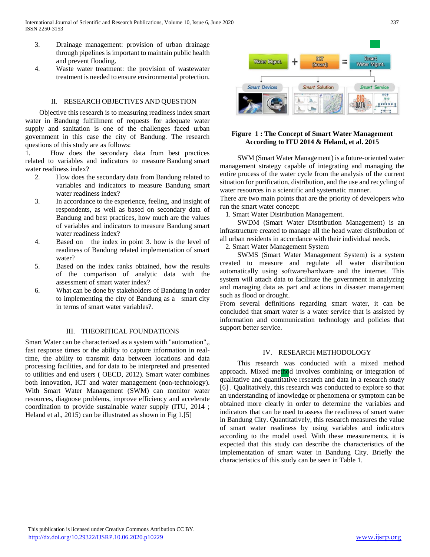- 3. Drainage management: provision of urban drainage through pipelines is important to maintain public health and prevent flooding.
- 4. Waste water treatment: the provision of wastewater treatment is needed to ensure environmental protection.

# II. RESEARCH OBJECTIVES AND QUESTION

 Objective this research is to measuring readiness index smart water in Bandung fulfillment of requests for adequate water supply and sanitation is one of the challenges faced urban government in this case the city of Bandung. The research questions of this study are as follows:

1. How does the secondary data from best practices related to variables and indicators to measure Bandung smart water readiness index?

- 2. How does the secondary data from Bandung related to variables and indicators to measure Bandung smart water readiness index?
- 3. In accordance to the experience, feeling, and insight of respondents, as well as based on secondary data of Bandung and best practices, how much are the values of variables and indicators to measure Bandung smart water readiness index?
- 4. Based on the index in point 3. how is the level of readiness of Bandung related implementation of smart water?
- 5. Based on the index ranks obtained, how the results of the comparison of analytic data with the assessment of smart water index?
- 6. What can be done by stakeholders of Bandung in order to implementing the city of Bandung as a smart city in terms of smart water variables?.

# III. THEORITICAL FOUNDATIONS

Smart Water can be characterized as a system with "automation",, fast response times or the ability to capture information in realtime, the ability to transmit data between locations and data processing facilities, and for data to be interpreted and presented to utilities and end users ( OECD, 2012). Smart water combines both innovation, ICT and water management (non-technology). With Smart Water Management (SWM) can monitor water resources, diagnose problems, improve efficiency and accelerate coordination to provide sustainable water supply (ITU, 2014 ; Heland et al., 2015) can be illustrated as shown in Fig 1.[5]



# **Figure 1 : The Concept of Smart Water Management According to ITU 2014 & Heland, et al. 2015**

 SWM (Smart Water Management) is a future-oriented water management strategy capable of integrating and managing the entire process of the water cycle from the analysis of the current situation for purification, distribution, and the use and recycling of water resources in a scientific and systematic manner.

There are two main points that are the priority of developers who run the smart water concept:

1. Smart Water Distribution Management.

 SWDM (Smart Water Distribution Management) is an infrastructure created to manage all the head water distribution of all urban residents in accordance with their individual needs.

2. Smart Water Management System

 SWMS (Smart Water Management System) is a system created to measure and regulate all water distribution automatically using software/hardware and the internet. This system will attach data to facilitate the government in analyzing and managing data as part and actions in disaster management such as flood or drought.

From several definitions regarding smart water, it can be concluded that smart water is a water service that is assisted by information and communication technology and policies that support better service.

# IV. RESEARCH METHODOLOGY

 This research was conducted with a mixed method approach. Mixed method involves combining or integration of qualitative and quantitative research and data in a research study [6] . Qualitatively, this research was conducted to explore so that an understanding of knowledge or phenomena or symptom can be obtained more clearly in order to determine the variables and indicators that can be used to assess the readiness of smart water in Bandung City. Quantitatively, this research measures the value of smart water readiness by using variables and indicators according to the model used. With these measurements, it is expected that this study can describe the characteristics of the implementation of smart water in Bandung City. Briefly the characteristics of this study can be seen in Table 1.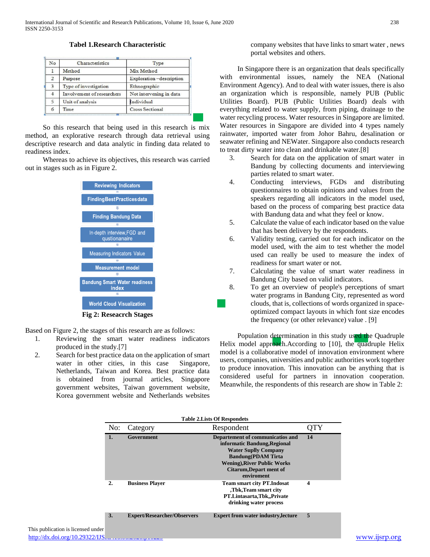**Tabel 1.Research Characteristic**

| No | Characteristics                                       | Type                   |  |
|----|-------------------------------------------------------|------------------------|--|
|    | Method                                                | Mix Method             |  |
|    | Exploration-description<br>Purpose                    |                        |  |
|    | Type of investigation                                 | Ethnographic           |  |
|    | Not intervening in data<br>Involvement of researchers |                        |  |
|    | Individual<br>Unit of analysis                        |                        |  |
|    | Time                                                  | <b>Cross Sectional</b> |  |

 So this research that being used in this research is mix method, an explorative research through data retrieval using descriptive research and data analytic in finding data related to readiness index.

 Whereas to achieve its objectives, this research was carried out in stages such as in Figure 2.



Based on Figure 2, the stages of this research are as follows:

- 1. Reviewing the smart water readiness indicators produced in the study.[7]
- 2. Search for best practice data on the application of smart water in other cities, in this case Singapore, Netherlands, Taiwan and Korea. Best practice data is obtained from journal articles, Singapore government websites, Taiwan government website, Korea government website and Netherlands websites

company websites that have links to smart water , news portal websites and others.

 In Singapore there is an organization that deals specifically with environmental issues, namely the NEA (National Environment Agency). And to deal with water issues, there is also an organization which is responsible, namely PUB (Public Utilities Board). PUB (Public Utilities Board) deals with everything related to water supply, from piping, drainage to the water recycling process. Water resources in Singapore are limited. Water resources in Singapore are divided into 4 types namely rainwater, imported water from Johor Bahru, desalination or seawater refining and NEWater. Singapore also conducts research to treat dirty water into clean and drinkable water.[8]

- 3. Search for data on the application of smart water in Bandung by collecting documents and interviewing parties related to smart water.
- 4. Conducting interviews, FGDs and distributing questionnaires to obtain opinions and values from the speakers regarding all indicators in the model used, based on the process of comparing best practice data with Bandung data and what they feel or know.
- 5. Calculate the value of each indicator based on the value that has been delivery by the respondents.
- 6. Validity testing, carried out for each indicator on the model used, with the aim to test whether the model used can really be used to measure the index of readiness for smart water or not.
- 7. Calculating the value of smart water readiness in Bandung City based on valid indicators.
- 8. To get an overview of people's perceptions of smart water programs in Bandung City, represented as word clouds, that is, collections of words organized in spaceoptimized compact layouts in which font size encodes the frequency (or other relevance) value . [9]

Population determination in this study used the Quadruple Helix model approach.According to [10], the quadruple Helix model is a collaborative model of innovation environment where users, companies, universities and public authorities work together to produce innovation. This innovation can be anything that is considered useful for partners in innovation cooperation. Meanwhile, the respondents of this research are show in Table 2:

| rapit 2. Lists Or Responders |                                    |                                                                                                                                                                                                                    |    |
|------------------------------|------------------------------------|--------------------------------------------------------------------------------------------------------------------------------------------------------------------------------------------------------------------|----|
| No:                          | Category                           | Respondent                                                                                                                                                                                                         |    |
| 1.                           | <b>Government</b>                  | Departement of communicatios and<br>informatic Bandung, Regional<br><b>Water Suplly Company</b><br><b>Bandung(PDAM Tirta</b><br><b>Wening), River Public Works</b><br><b>Citarum, Depart ment of</b><br>enviroment | 14 |
| $\mathbf{2}$                 | <b>Business Player</b>             | <b>Team smart city PT.Indosat</b><br>Tbk, Team smart city<br>PT.Lintasarta,Tbk,,Private<br>drinking water process                                                                                                  | 4  |
| 3.<br>r                      | <b>Expert/Researcher/Observers</b> | <b>Expert from water industry, lecture</b>                                                                                                                                                                         | 5  |
| $\mathbf{\Omega}$            |                                    |                                                                                                                                                                                                                    |    |

**Table 2.Lists Of Respondets**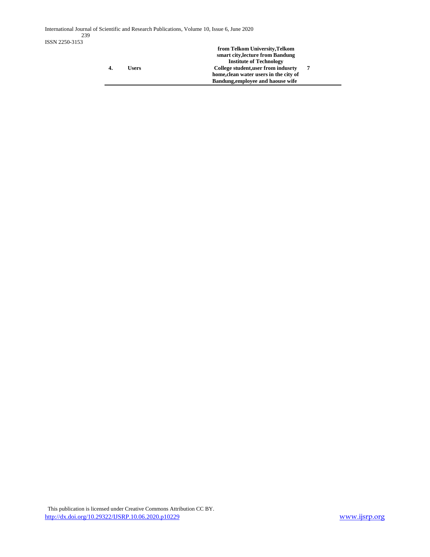|    |       | smart city, lecture from Bandung         |  |
|----|-------|------------------------------------------|--|
|    |       | <b>Institute of Technology</b>           |  |
| 4. | Users | College student, user from indusrty      |  |
|    |       | home, clean water users in the city of   |  |
|    |       | <b>Bandung, employee and haouse wife</b> |  |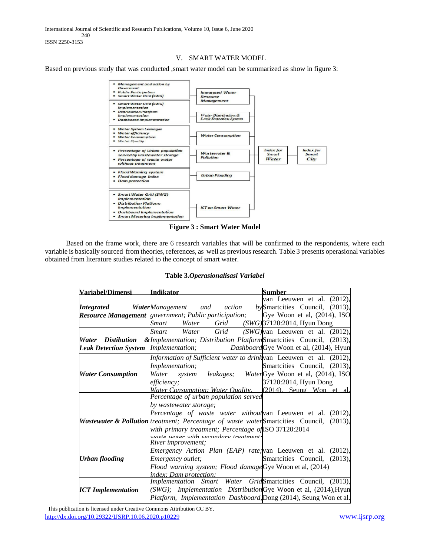International Journal of Scientific and Research Publications, Volume 10, Issue 6, June 2020 240 ISSN 2250-3153

# V. SMART WATER MODEL

Based on previous study that was conducted ,smart water model can be summarized as show in figure 3:



**Figure 3 : Smart Water Model**

 Based on the frame work, there are 6 research variables that will be confirmed to the respondents, where each variable is basically sourced from theories, references, as well as previous research. Table 3 presents operasional variables obtained from literature studies related to the concept of smart water.

| <u>Variabel/Dimensi</u>   | <b>Indikator</b>                                                                              | <b>Sumber</b>                         |
|---------------------------|-----------------------------------------------------------------------------------------------|---------------------------------------|
|                           |                                                                                               | van Leeuwen et al. (2012),            |
| Integrated                | <b>Water</b> Management and<br>action                                                         | by Smartcities Council, $(2013)$ ,    |
|                           | <b>Resource Management</b> government; Public participation;                                  | Gye Woon et al, (2014), ISO           |
|                           | Water<br>Grid<br>Smart                                                                        | $(SWG)$ 37120:2014, Hyun Dong         |
|                           | Grid<br>Smart<br>Water                                                                        | $(SWG)$ van Leeuwen et al. $(2012)$ , |
| Water Distibution         | & Implementation; Distribution Platform Smartcities Council, (2013),                          |                                       |
|                           | <b>Leak Detection System</b> Implementation;                                                  | DashboardGye Woon et al, (2014), Hyun |
|                           | Information of Sufficient water to drink van Leeuwen et al. (2012),                           |                                       |
|                           | Implementation;                                                                               | Smartcities Council, (2013),          |
| <b>Water Consumption</b>  | Water system leakages;                                                                        | WaterGye Woon et al, (2014), ISO      |
|                           | efficiency;                                                                                   | 37120:2014, Hyun Dong                 |
|                           | Water Consumption: Water Quality.                                                             | $(2014)$ . Seung Won et al.           |
|                           | Percentage of urban population served                                                         |                                       |
|                           | by wastewater storage;                                                                        |                                       |
|                           | Percentage of waste water without van Leeuwen et al.                                          | $(2012)$ ,                            |
|                           | <b>Wastewater &amp; Pollution</b> treatment; Percentage of waste waterSmartcities Council,    | (2013),                               |
|                           | with primary treatment; Percentage of ISO 37120:2014                                          |                                       |
|                           | sto water with secondary treatment.                                                           |                                       |
|                           | River improvement;                                                                            |                                       |
|                           | <i>Emergency Action Plan (EAP) rate</i> ; van Leeuwen et al. (2012),                          |                                       |
| <b>Urban flooding</b>     | Emergency outlet;                                                                             | Smartcities Council, (2013),          |
|                           | Flood warning system; Flood damageGye Woon et al, (2014)                                      |                                       |
|                           | index: Dam protection:<br><i>Implementation Smart Water Grid</i> Smartcities Council, (2013), |                                       |
|                           |                                                                                               |                                       |
| <b>ICT</b> Implementation | (SWG); Implementation Distribution Gye Woon et al, (2014), Hyun                               |                                       |
|                           | Platform, Implementation Dashboard, Dong (2014), Seung Won et al.                             |                                       |

# **Table 3.***Operasionalisasi Variabel*

This publication is licensed under Creative Commons Attribution CC BY. <http://dx.doi.org/10.29322/IJSRP.10.06.2020.p10229> [www.ijsrp.org](http://ijsrp.org/)

(2015), PUB Singapore (2016)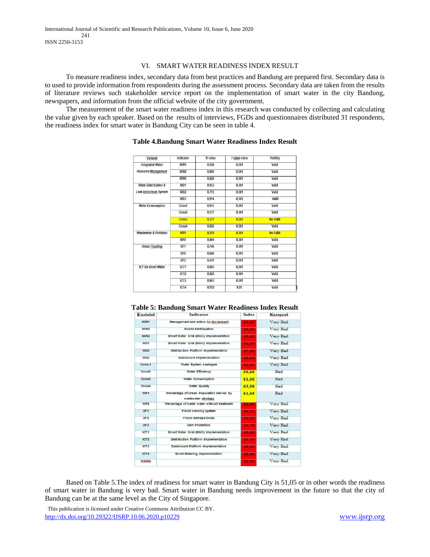# VI. SMART WATER READINESS INDEX RESULT

 To measure readiness index, secondary data from best practices and Bandung are prepared first. Secondary data is to used to provide information from respondents during the assessment process. Secondary data are taken from the results of literature reviews such stakeholder service report on the implementation of smart water in the city Bandung, newspapers, and information from the official website of the city government.

 The measurement of the smart water readiness index in this research was conducted by collecting and calculating the value given by each speaker. Based on the results of interviews, FGDs and questionnaires distributed 31 respondents, the readiness index for smart water in Bandung City can be seen in table 4.

| Variabel                          | Indicator        | R value | r tabel value | Validity        |
|-----------------------------------|------------------|---------|---------------|-----------------|
| <b>Integrated Water</b>           | <b>IRW1</b>      | 0.524   | 0.361         | Valid           |
| Resource Managemant               | IRW <sub>2</sub> | 0.800   | 0.361         | Valid           |
|                                   | IRW3             | 0.929   | 0.361         | Valid           |
| Water Distribution &              | WD <sub>1</sub>  | 0.933   | 0.361         | Valid           |
| Leak Detectionn System            | WD2              | 0.715   | 0.361         | Valid           |
|                                   | WD3              | 0.914   | 0.361         | Valid           |
| <b>Water Consumption</b>          | Cons1            | 0.815   | 0.361         | Valid           |
|                                   | Cons2            | 0.577   | 0,361         | Valid           |
|                                   | Cons3            | 0.317   | 0.361         | <b>No Valid</b> |
|                                   | Cons4            | 0.826   | 0.361         | Valid           |
| <b>Wastewater &amp; Pollution</b> | WP <sub>1</sub>  | 0.218   | 0.361         | <b>No Valid</b> |
|                                   | WP <sub>2</sub>  | 0.804   | 0.361         | Valid           |
| Urban Floading                    | UF <sub>1</sub>  | 0,746   | 0.361         | Valid           |
|                                   | UF2              | 0.846   | 0.361         | Valid           |
|                                   | UF3              | 0.441   | 0.361         | Valid           |
| <b>ICT On Smart Water</b>         | ICT1             | 0.963   | 0.361         | Valid           |
|                                   | ICT <sub>2</sub> | 0.824   | 0.361         | Valid           |
|                                   | ICT <sub>3</sub> | 0.963   | 0.361         | Valid           |
|                                   | ICT4             | 0.932   | 0.61          | Valid           |
|                                   |                  |         |               |                 |

#### **Table 4.Bandung Smart Water Readiness Index Result**

# **Table 5: Bandung Smart Water Readiness Index Result**

| <b>A</b> ariabel | Indicator                                                       | Index  | Kategori |
|------------------|-----------------------------------------------------------------|--------|----------|
| IWR1             | Management and action by Goverment                              | 62.63  | Very Bad |
| IWR2             | <b>Public Participation</b>                                     | 58.83  | Very Bad |
| IWR <sub>3</sub> | Smart Water Grid (SWG) Implementation                           | 49.65  | Very Bad |
| WD1              | Smart Water Grid (SWG) Implementation                           | 50.18  | Very Bad |
| WD <sub>2</sub>  | Distribution Platform Implementation                            | 50.98  | Very Bad |
| WD3              | Dashboard Implementation                                        | 48.54  | Very Bad |
| Cons 1           | Water System Leakages                                           | 52.89  | Very Bad |
| Cons2            | Water Efficiency                                                | 56.06  | Bad      |
| Cons3            | Water Consumption                                               | 61.08  | Bad      |
| Cons4            | Water Quality                                                   | 63.98  | Bad      |
| WP1              | Percentage of Urban Population Served by<br>wastewater strotage | 61.05  | Bad      |
| WP <sub>2</sub>  | Percentage of waste water without treatment                     | 55.65  | Very Bad |
| UF1              | Flood warning system                                            | 56.24  | Very Bad |
| UF2              | Flood damage index                                              | 51.23  | Very Bad |
| UF3              | Dam Protection                                                  | 43.76  | Very Bad |
| ICT <sub>1</sub> | Smart Water Grid (SWG) Implementation                           | 50.08  | Very Bad |
| ICT <sub>2</sub> | Distribution Platform Implementation                            | 10.33  | Very Bad |
| ICT <sub>3</sub> | Dashboard Platform Implementation                               | 48.40  | Very Bad |
| ICT4             | Smart Motoring Implomentation                                   | 48.80  | Very Bad |
| <b>Indeke</b>    |                                                                 | \$1.05 | Very Bad |

 Based on Table 5.The index of readiness for smart water in Bandung City is 51,05 or in other words the readiness of smart water in Bandung is very bad. Smart water in Bandung needs improvement in the future so that the city of Bandung can be at the same level as the City of Singapore.

 This publication is licensed under Creative Commons Attribution CC BY. <http://dx.doi.org/10.29322/IJSRP.10.06.2020.p10229> [www.ijsrp.org](http://ijsrp.org/)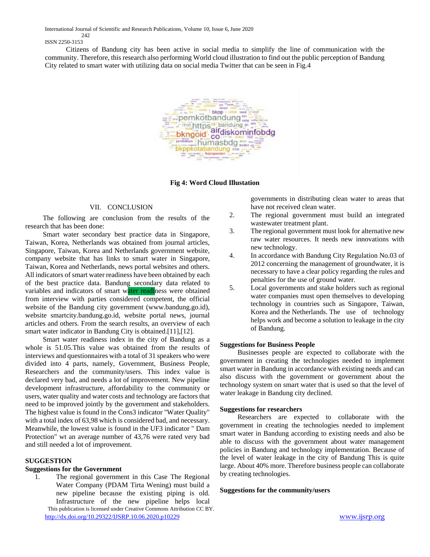#### 242 ISSN 2250-3153

 Citizens of Bandung city has been active in social media to simplify the line of communication with the community. Therefore, this research also performing World cloud illustration to find out the public perception of Bandung City related to smart water with utilizing data on social media Twitter that can be seen in Fig.4



**Fig 4: Word Cloud Illustation**

# VII. CONCLUSION

 The following are conclusion from the results of the research that has been done:

 Smart water secondary best practice data in Singapore, Taiwan, Korea, Netherlands was obtained from journal articles, Singapore, Taiwan, Korea and Netherlands government website, company website that has links to smart water in Singapore, Taiwan, Korea and Netherlands, news portal websites and others. All indicators of smart water readiness have been obtained by each of the best practice data. Bandung secondary data related to variables and indicators of smart water readiness were obtained from interview with parties considered competent, the official website of the Bandung city government (www.bandung.go.id), website smartcity.bandung.go.id, website portal news, journal articles and others. From the search results, an overview of each smart water indicator in Bandung City is obtained.[11],[12].

 Smart water readiness index in the city of Bandung as a whole is 51.05.This value was obtained from the results of interviews and questionnaires with a total of 31 speakers who were divided into 4 parts, namely, Government, Business People, Researchers and the community/users. This index value is declared very bad, and needs a lot of improvement. New pipeline development infrastructure, affordability to the community or users, water quality and water costs and technology are factors that need to be improved jointly by the government and stakeholders. The highest value is found in the Cons3 indicator "Water Quality" with a total index of 63,98 which is considered bad, and necessary. Meanwhile, the lowest value is found in the UF3 indicator " Dam Protection" wt an average number of 43,76 were rated very bad and still needed a lot of improvement.

#### **SUGGESTION**

# **Suggestions for the Government**

 This publication is licensed under Creative Commons Attribution CC BY. <http://dx.doi.org/10.29322/IJSRP.10.06.2020.p10229> [www.ijsrp.org](http://ijsrp.org/) 1. The regional government in this Case The Regional Water Company (PDAM Tirta Wening) must build a new pipeline because the existing piping is old. Infrastructure of the new pipeline helps local

governments in distributing clean water to areas that have not received clean water.

- 2. The regional government must build an integrated wastewater treatment plant.
- 3. The regional government must look for alternative new raw water resources. It needs new innovations with new technology.
- 4. In accordance with Bandung City Regulation No.03 of 2012 concerning the management of groundwater, it is necessary to have a clear policy regarding the rules and penalties for the use of ground water.
- 5. Local governments and stake holders such as regional water companies must open themselves to developing technology in countries such as Singapore, Taiwan, Korea and the Netherlands. The use of technology helps work and become a solution to leakage in the city of Bandung.

#### **Suggestions for Business People**

 Businesses people are expected to collaborate with the government in creating the technologies needed to implement smart water in Bandung in accordance with existing needs and can also discuss with the government or government about the technology system on smart water that is used so that the level of water leakage in Bandung city declined.

#### **Suggestions for researchers**

 Researchers are expected to collaborate with the government in creating the technologies needed to implement smart water in Bandung according to existing needs and also be able to discuss with the government about water management policies in Bandung and technology implementation. Because of the level of water leakage in the city of Bandung This is quite large. About 40% more. Therefore business people can collaborate by creating technologies.

#### **Suggestions for the community/users**